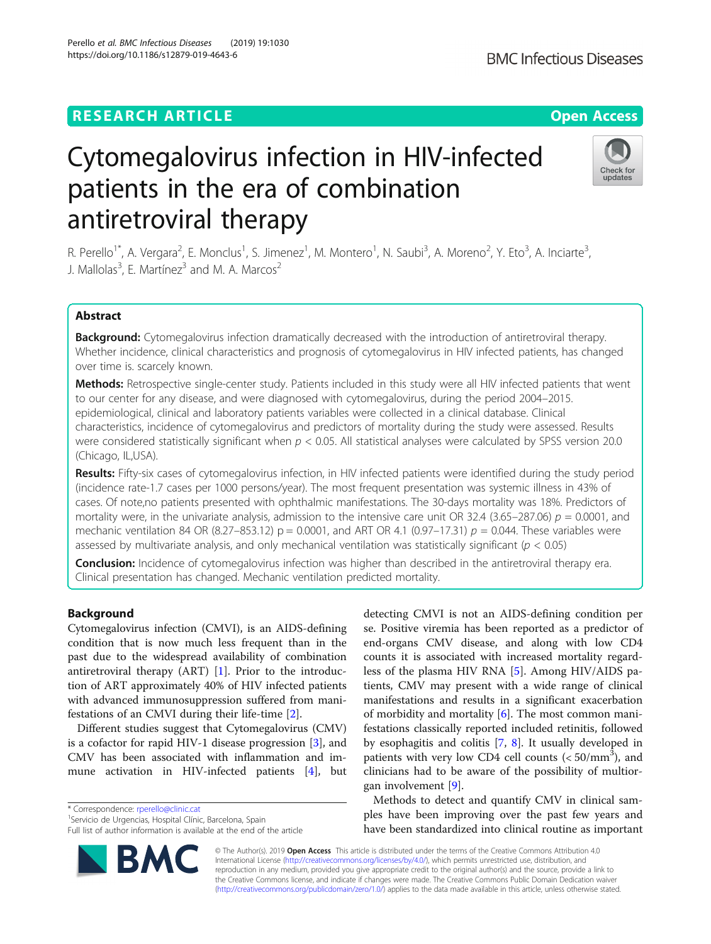# **RESEARCH ARTICLE Example 2014 12:30 The Open Access**

# Cytomegalovirus infection in HIV-infected patients in the era of combination antiretroviral therapy

R. Perello<sup>1\*</sup>, A. Vergara<sup>2</sup>, E. Monclus<sup>1</sup>, S. Jimenez<sup>1</sup>, M. Montero<sup>1</sup>, N. Saubi<sup>3</sup>, A. Moreno<sup>2</sup>, Y. Eto<sup>3</sup>, A. Inciarte<sup>3</sup> , J. Mallolas<sup>3</sup>, E. Martínez<sup>3</sup> and M. A. Marcos<sup>2</sup>

# Abstract

Background: Cytomegalovirus infection dramatically decreased with the introduction of antiretroviral therapy. Whether incidence, clinical characteristics and prognosis of cytomegalovirus in HIV infected patients, has changed over time is. scarcely known.

Methods: Retrospective single-center study. Patients included in this study were all HIV infected patients that went to our center for any disease, and were diagnosed with cytomegalovirus, during the period 2004–2015. epidemiological, clinical and laboratory patients variables were collected in a clinical database. Clinical characteristics, incidence of cytomegalovirus and predictors of mortality during the study were assessed. Results were considered statistically significant when  $p < 0.05$ . All statistical analyses were calculated by SPSS version 20.0 (Chicago, IL,USA).

Results: Fifty-six cases of cytomegalovirus infection, in HIV infected patients were identified during the study period (incidence rate-1.7 cases per 1000 persons/year). The most frequent presentation was systemic illness in 43% of cases. Of note,no patients presented with ophthalmic manifestations. The 30-days mortality was 18%. Predictors of mortality were, in the univariate analysis, admission to the intensive care unit OR 32.4 (3.65–287.06)  $p = 0.0001$ , and mechanic ventilation 84 OR (8.27–853.12)  $p = 0.0001$ , and ART OR 4.1 (0.97–17.31)  $p = 0.044$ . These variables were assessed by multivariate analysis, and only mechanical ventilation was statistically significant ( $p < 0.05$ )

**Conclusion:** Incidence of cytomegalovirus infection was higher than described in the antiretroviral therapy era. Clinical presentation has changed. Mechanic ventilation predicted mortality.

# Background

Cytomegalovirus infection (CMVI), is an AIDS-defining condition that is now much less frequent than in the past due to the widespread availability of combination antiretroviral therapy (ART) [[1\]](#page-5-0). Prior to the introduction of ART approximately 40% of HIV infected patients with advanced immunosuppression suffered from manifestations of an CMVI during their life-time [[2\]](#page-5-0).

Different studies suggest that Cytomegalovirus (CMV) is a cofactor for rapid HIV-1 disease progression [\[3](#page-5-0)], and CMV has been associated with inflammation and immune activation in HIV-infected patients [\[4](#page-5-0)], but

\* Correspondence: [rperello@clinic.cat](mailto:rperello@clinic.cat) <sup>1</sup>

<sup>1</sup> Servicio de Urgencias, Hospital Clínic, Barcelona, Spain

Full list of author information is available at the end of the article

© The Author(s). 2019 Open Access This article is distributed under the terms of the Creative Commons Attribution 4.0 International License [\(http://creativecommons.org/licenses/by/4.0/](http://creativecommons.org/licenses/by/4.0/)), which permits unrestricted use, distribution, and reproduction in any medium, provided you give appropriate credit to the original author(s) and the source, provide a link to the Creative Commons license, and indicate if changes were made. The Creative Commons Public Domain Dedication waiver [\(http://creativecommons.org/publicdomain/zero/1.0/](http://creativecommons.org/publicdomain/zero/1.0/)) applies to the data made available in this article, unless otherwise stated.

detecting CMVI is not an AIDS-defining condition per se. Positive viremia has been reported as a predictor of end-organs CMV disease, and along with low CD4 counts it is associated with increased mortality regardless of the plasma HIV RNA [[5\]](#page-5-0). Among HIV/AIDS patients, CMV may present with a wide range of clinical manifestations and results in a significant exacerbation of morbidity and mortality  $[6]$  $[6]$ . The most common manifestations classically reported included retinitis, followed by esophagitis and colitis [[7](#page-5-0), [8\]](#page-5-0). It usually developed in patients with very low CD4 cell counts  $( $50/\text{mm}^3$ ), and$ clinicians had to be aware of the possibility of multiorgan involvement [\[9](#page-5-0)].

Methods to detect and quantify CMV in clinical samples have been improving over the past few years and have been standardized into clinical routine as important





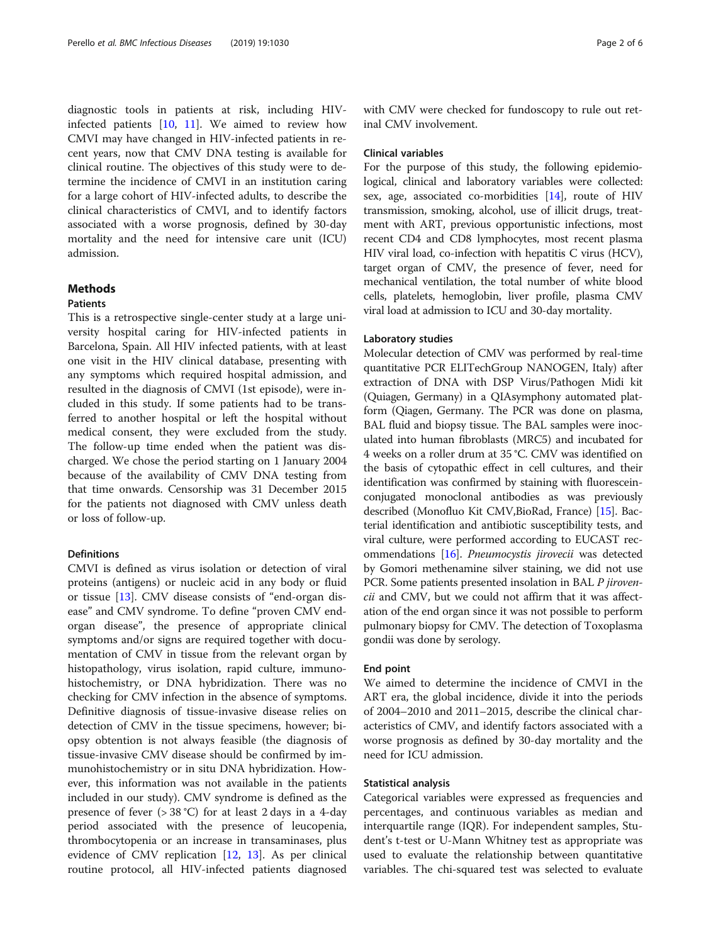diagnostic tools in patients at risk, including HIVinfected patients [\[10](#page-5-0), [11](#page-5-0)]. We aimed to review how CMVI may have changed in HIV-infected patients in recent years, now that CMV DNA testing is available for clinical routine. The objectives of this study were to determine the incidence of CMVI in an institution caring for a large cohort of HIV-infected adults, to describe the clinical characteristics of CMVI, and to identify factors associated with a worse prognosis, defined by 30-day mortality and the need for intensive care unit (ICU) admission.

# Methods

#### **Patients**

This is a retrospective single-center study at a large university hospital caring for HIV-infected patients in Barcelona, Spain. All HIV infected patients, with at least one visit in the HIV clinical database, presenting with any symptoms which required hospital admission, and resulted in the diagnosis of CMVI (1st episode), were included in this study. If some patients had to be transferred to another hospital or left the hospital without medical consent, they were excluded from the study. The follow-up time ended when the patient was discharged. We chose the period starting on 1 January 2004 because of the availability of CMV DNA testing from that time onwards. Censorship was 31 December 2015 for the patients not diagnosed with CMV unless death or loss of follow-up.

# Definitions

CMVI is defined as virus isolation or detection of viral proteins (antigens) or nucleic acid in any body or fluid or tissue [[13\]](#page-5-0). CMV disease consists of "end-organ disease" and CMV syndrome. To define "proven CMV endorgan disease", the presence of appropriate clinical symptoms and/or signs are required together with documentation of CMV in tissue from the relevant organ by histopathology, virus isolation, rapid culture, immunohistochemistry, or DNA hybridization. There was no checking for CMV infection in the absence of symptoms. Definitive diagnosis of tissue-invasive disease relies on detection of CMV in the tissue specimens, however; biopsy obtention is not always feasible (the diagnosis of tissue-invasive CMV disease should be confirmed by immunohistochemistry or in situ DNA hybridization. However, this information was not available in the patients included in our study). CMV syndrome is defined as the presence of fever (> 38 °C) for at least 2 days in a 4-day period associated with the presence of leucopenia, thrombocytopenia or an increase in transaminases, plus evidence of CMV replication [[12,](#page-5-0) [13\]](#page-5-0). As per clinical routine protocol, all HIV-infected patients diagnosed

with CMV were checked for fundoscopy to rule out retinal CMV involvement.

#### Clinical variables

For the purpose of this study, the following epidemiological, clinical and laboratory variables were collected: sex, age, associated co-morbidities [[14](#page-5-0)], route of HIV transmission, smoking, alcohol, use of illicit drugs, treatment with ART, previous opportunistic infections, most recent CD4 and CD8 lymphocytes, most recent plasma HIV viral load, co-infection with hepatitis C virus (HCV), target organ of CMV, the presence of fever, need for mechanical ventilation, the total number of white blood cells, platelets, hemoglobin, liver profile, plasma CMV viral load at admission to ICU and 30-day mortality.

#### Laboratory studies

Molecular detection of CMV was performed by real-time quantitative PCR ELITechGroup NANOGEN, Italy) after extraction of DNA with DSP Virus/Pathogen Midi kit (Quiagen, Germany) in a QIAsymphony automated platform (Qiagen, Germany. The PCR was done on plasma, BAL fluid and biopsy tissue. The BAL samples were inoculated into human fibroblasts (MRC5) and incubated for 4 weeks on a roller drum at 35 °C. CMV was identified on the basis of cytopathic effect in cell cultures, and their identification was confirmed by staining with fluoresceinconjugated monoclonal antibodies as was previously described (Monofluo Kit CMV,BioRad, France) [\[15](#page-5-0)]. Bacterial identification and antibiotic susceptibility tests, and viral culture, were performed according to EUCAST recommendations [\[16](#page-5-0)]. Pneumocystis jirovecii was detected by Gomori methenamine silver staining, we did not use PCR. Some patients presented insolation in BAL P jirovencii and CMV, but we could not affirm that it was affectation of the end organ since it was not possible to perform pulmonary biopsy for CMV. The detection of Toxoplasma gondii was done by serology.

### End point

We aimed to determine the incidence of CMVI in the ART era, the global incidence, divide it into the periods of 2004–2010 and 2011–2015, describe the clinical characteristics of CMV, and identify factors associated with a worse prognosis as defined by 30-day mortality and the need for ICU admission.

#### Statistical analysis

Categorical variables were expressed as frequencies and percentages, and continuous variables as median and interquartile range (IQR). For independent samples, Student's t-test or U-Mann Whitney test as appropriate was used to evaluate the relationship between quantitative variables. The chi-squared test was selected to evaluate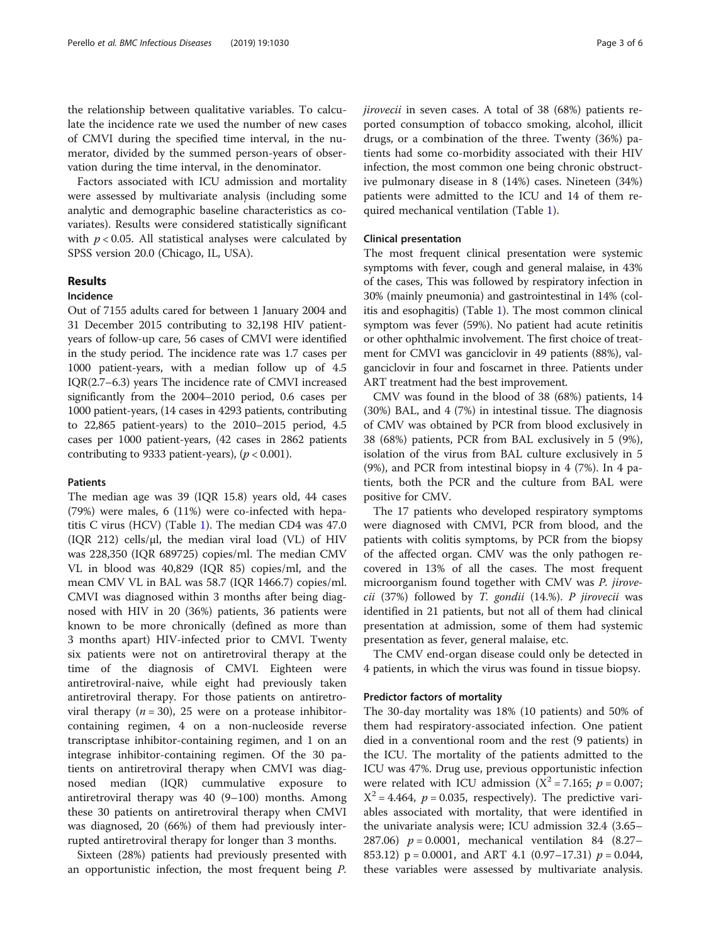the relationship between qualitative variables. To calculate the incidence rate we used the number of new cases of CMVI during the specified time interval, in the numerator, divided by the summed person-years of observation during the time interval, in the denominator.

Factors associated with ICU admission and mortality were assessed by multivariate analysis (including some analytic and demographic baseline characteristics as covariates). Results were considered statistically significant with  $p < 0.05$ . All statistical analyses were calculated by SPSS version 20.0 (Chicago, IL, USA).

# Results

# Incidence

Out of 7155 adults cared for between 1 January 2004 and 31 December 2015 contributing to 32,198 HIV patientyears of follow-up care, 56 cases of CMVI were identified in the study period. The incidence rate was 1.7 cases per 1000 patient-years, with a median follow up of 4.5 IQR(2.7–6.3) years The incidence rate of CMVI increased significantly from the 2004–2010 period, 0.6 cases per 1000 patient-years, (14 cases in 4293 patients, contributing to 22,865 patient-years) to the 2010–2015 period, 4.5 cases per 1000 patient-years, (42 cases in 2862 patients contributing to 9333 patient-years),  $(p < 0.001)$ .

# Patients

The median age was 39 (IQR 15.8) years old, 44 cases (79%) were males, 6 (11%) were co-infected with hepatitis C virus (HCV) (Table [1\)](#page-3-0). The median CD4 was 47.0 (IQR 212) cells/μl, the median viral load (VL) of HIV was 228,350 (IQR 689725) copies/ml. The median CMV VL in blood was 40,829 (IQR 85) copies/ml, and the mean CMV VL in BAL was 58.7 (IQR 1466.7) copies/ml. CMVI was diagnosed within 3 months after being diagnosed with HIV in 20 (36%) patients, 36 patients were known to be more chronically (defined as more than 3 months apart) HIV-infected prior to CMVI. Twenty six patients were not on antiretroviral therapy at the time of the diagnosis of CMVI. Eighteen were antiretroviral-naive, while eight had previously taken antiretroviral therapy. For those patients on antiretroviral therapy  $(n = 30)$ , 25 were on a protease inhibitorcontaining regimen, 4 on a non-nucleoside reverse transcriptase inhibitor-containing regimen, and 1 on an integrase inhibitor-containing regimen. Of the 30 patients on antiretroviral therapy when CMVI was diagnosed median (IQR) cummulative exposure to antiretroviral therapy was 40 (9–100) months. Among these 30 patients on antiretroviral therapy when CMVI was diagnosed, 20 (66%) of them had previously interrupted antiretroviral therapy for longer than 3 months.

Sixteen (28%) patients had previously presented with an opportunistic infection, the most frequent being P.

jirovecii in seven cases. A total of 38 (68%) patients reported consumption of tobacco smoking, alcohol, illicit drugs, or a combination of the three. Twenty (36%) patients had some co-morbidity associated with their HIV infection, the most common one being chronic obstructive pulmonary disease in 8 (14%) cases. Nineteen (34%) patients were admitted to the ICU and 14 of them required mechanical ventilation (Table [1](#page-3-0)).

# Clinical presentation

The most frequent clinical presentation were systemic symptoms with fever, cough and general malaise, in 43% of the cases, This was followed by respiratory infection in 30% (mainly pneumonia) and gastrointestinal in 14% (colitis and esophagitis) (Table [1](#page-3-0)). The most common clinical symptom was fever (59%). No patient had acute retinitis or other ophthalmic involvement. The first choice of treatment for CMVI was ganciclovir in 49 patients (88%), valganciclovir in four and foscarnet in three. Patients under ART treatment had the best improvement.

CMV was found in the blood of 38 (68%) patients, 14 (30%) BAL, and 4 (7%) in intestinal tissue. The diagnosis of CMV was obtained by PCR from blood exclusively in 38 (68%) patients, PCR from BAL exclusively in 5 (9%), isolation of the virus from BAL culture exclusively in 5 (9%), and PCR from intestinal biopsy in 4 (7%). In 4 patients, both the PCR and the culture from BAL were positive for CMV.

The 17 patients who developed respiratory symptoms were diagnosed with CMVI, PCR from blood, and the patients with colitis symptoms, by PCR from the biopsy of the affected organ. CMV was the only pathogen recovered in 13% of all the cases. The most frequent microorganism found together with CMV was P. jirove $cii$  (37%) followed by T. gondii (14.%). P jirovecii was identified in 21 patients, but not all of them had clinical presentation at admission, some of them had systemic presentation as fever, general malaise, etc.

The CMV end-organ disease could only be detected in 4 patients, in which the virus was found in tissue biopsy.

#### Predictor factors of mortality

The 30-day mortality was 18% (10 patients) and 50% of them had respiratory-associated infection. One patient died in a conventional room and the rest (9 patients) in the ICU. The mortality of the patients admitted to the ICU was 47%. Drug use, previous opportunistic infection were related with ICU admission ( $X^2 = 7.165$ ;  $p = 0.007$ ;  $X^2 = 4.464$ ,  $p = 0.035$ , respectively). The predictive variables associated with mortality, that were identified in the univariate analysis were; ICU admission 32.4 (3.65– 287.06)  $p = 0.0001$ , mechanical ventilation 84 (8.27– 853.12)  $p = 0.0001$ , and ART 4.1  $(0.97-17.31)$   $p = 0.044$ , these variables were assessed by multivariate analysis.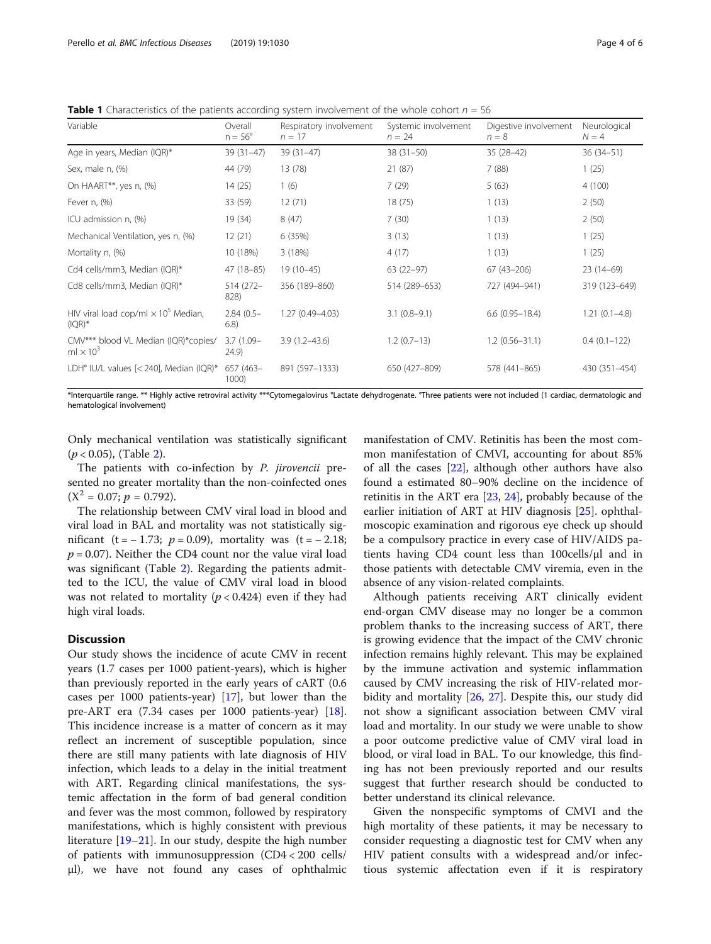<span id="page-3-0"></span>**Table 1** Characteristics of the patients according system involvement of the whole cohort  $n = 56$ 

| Variable                                                            | Overall<br>$n = 56^\circ$ | Respiratory involvement<br>$n = 17$ | Systemic involvement<br>$n = 24$ | Digestive involvement<br>$n = 8$ | Neurological<br>$N = 4$ |
|---------------------------------------------------------------------|---------------------------|-------------------------------------|----------------------------------|----------------------------------|-------------------------|
| Age in years, Median (IQR)*                                         | $39(31-47)$               | 39 (31-47)                          | $38(31-50)$                      | $35(28-42)$                      | 36 (34 - 51)            |
| Sex, male n, (%)                                                    | 44 (79)                   | 13(78)                              | 21(87)                           | 7(88)                            | 1(25)                   |
| On HAART**, yes n, (%)                                              | 14(25)                    | 1(6)                                | 7(29)                            | 5(63)                            | 4(100)                  |
| Fever n, (%)                                                        | 33 (59)                   | 12(71)                              | 18(75)                           | 1(13)                            | 2(50)                   |
| ICU admission n, (%)                                                | 19 (34)                   | 8(47)                               | 7(30)                            | 1(13)                            | 2(50)                   |
| Mechanical Ventilation, yes n, (%)                                  | 12(21)                    | 6 (35%)                             | 3(13)                            | 1(13)                            | 1(25)                   |
| Mortality n, (%)                                                    | 10 (18%)                  | 3(18%)                              | 4(17)                            | 1(13)                            | 1(25)                   |
| Cd4 cells/mm3, Median (IQR)*                                        | 47 (18-85)                | 19 (10-45)                          | $63(22-97)$                      | $67(43 - 206)$                   | $23(14-69)$             |
| Cd8 cells/mm3, Median (IQR)*                                        | 514 (272-<br>828)         | 356 (189-860)                       | 514 (289-653)                    | 727 (494-941)                    | 319 (123-649)           |
| HIV viral load cop/ml $\times$ 10 <sup>5</sup> Median,<br>$(IQR)*$  | $2.84(0.5 -$<br>6.8)      | 1.27 (0.49-4.03)                    | $3.1(0.8-9.1)$                   | $6.6(0.95 - 18.4)$               | $1.21(0.1 - 4.8)$       |
| CMV*** blood VL Median (IQR)*copies/<br>ml $\times$ 10 <sup>3</sup> | $3.7(1.09 -$<br>24.9)     | $3.9(1.2 - 43.6)$                   | $1.2(0.7-13)$                    | $1.2(0.56 - 31.1)$               | $0.4(0.1 - 122)$        |
| LDH° IU/L values [< 240], Median (IQR)*                             | 657 (463-<br>1000)        | 891 (597-1333)                      | 650 (427-809)                    | 578 (441-865)                    | 430 (351-454)           |

\*Interquartile range. \*\* Highly active retroviral activity \*\*\*Cytomegalovirus °Lactate dehydrogenate. °Three patients were not included (1 cardiac, dermatologic and hematological involvement)

Only mechanical ventilation was statistically significant  $(p < 0.05)$ , (Table [2](#page-4-0)).

The patients with co-infection by P. jirovencii presented no greater mortality than the non-coinfected ones  $(X^2 = 0.07; p = 0.792)$ .

The relationship between CMV viral load in blood and viral load in BAL and mortality was not statistically significant (t =  $-1.73$ ;  $p = 0.09$ ), mortality was (t =  $-2.18$ ;  $p = 0.07$ ). Neither the CD4 count nor the value viral load was significant (Table [2](#page-4-0)). Regarding the patients admitted to the ICU, the value of CMV viral load in blood was not related to mortality ( $p < 0.424$ ) even if they had high viral loads.

# **Discussion**

Our study shows the incidence of acute CMV in recent years (1.7 cases per 1000 patient-years), which is higher than previously reported in the early years of cART (0.6 cases per 1000 patients-year) [[17](#page-5-0)], but lower than the pre-ART era (7.34 cases per 1000 patients-year) [\[18](#page-5-0)]. This incidence increase is a matter of concern as it may reflect an increment of susceptible population, since there are still many patients with late diagnosis of HIV infection, which leads to a delay in the initial treatment with ART. Regarding clinical manifestations, the systemic affectation in the form of bad general condition and fever was the most common, followed by respiratory manifestations, which is highly consistent with previous literature [\[19](#page-5-0)–[21\]](#page-5-0). In our study, despite the high number of patients with immunosuppression (CD4 < 200 cells/ μl), we have not found any cases of ophthalmic

manifestation of CMV. Retinitis has been the most common manifestation of CMVI, accounting for about 85% of all the cases [[22](#page-5-0)], although other authors have also found a estimated 80–90% decline on the incidence of retinitis in the ART era [[23](#page-5-0), [24\]](#page-5-0), probably because of the earlier initiation of ART at HIV diagnosis [\[25](#page-5-0)]. ophthalmoscopic examination and rigorous eye check up should be a compulsory practice in every case of HIV/AIDS patients having CD4 count less than 100cells/μl and in those patients with detectable CMV viremia, even in the absence of any vision-related complaints.

Although patients receiving ART clinically evident end-organ CMV disease may no longer be a common problem thanks to the increasing success of ART, there is growing evidence that the impact of the CMV chronic infection remains highly relevant. This may be explained by the immune activation and systemic inflammation caused by CMV increasing the risk of HIV-related morbidity and mortality [[26,](#page-5-0) [27](#page-5-0)]. Despite this, our study did not show a significant association between CMV viral load and mortality. In our study we were unable to show a poor outcome predictive value of CMV viral load in blood, or viral load in BAL. To our knowledge, this finding has not been previously reported and our results suggest that further research should be conducted to better understand its clinical relevance.

Given the nonspecific symptoms of CMVI and the high mortality of these patients, it may be necessary to consider requesting a diagnostic test for CMV when any HIV patient consults with a widespread and/or infectious systemic affectation even if it is respiratory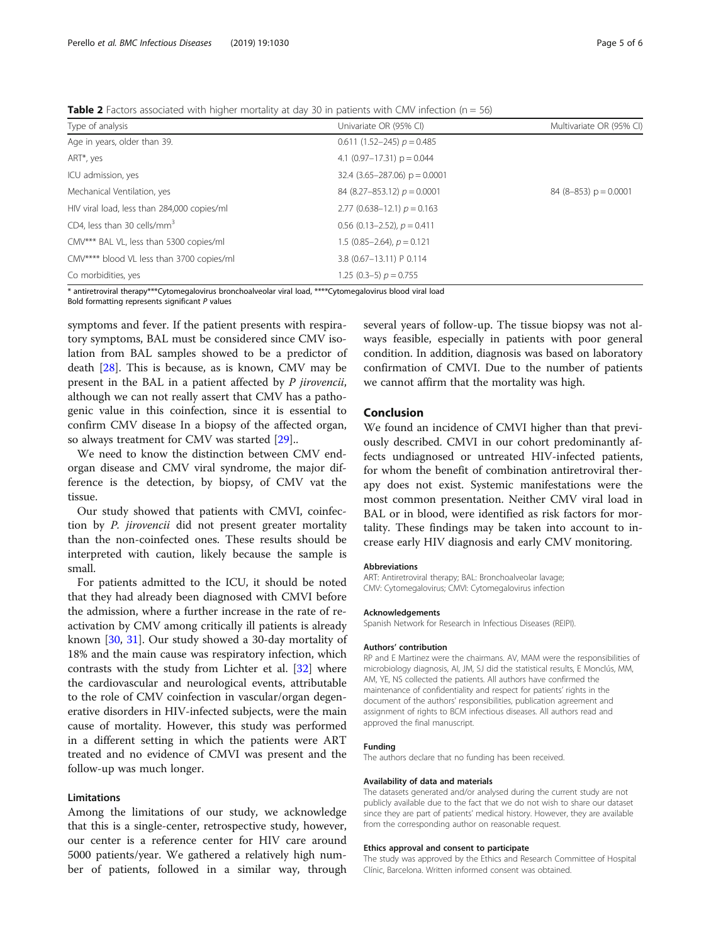<span id="page-4-0"></span>**Table 2** Factors associated with higher mortality at day 30 in patients with CMV infection ( $n = 56$ )

| Type of analysis                            | Univariate OR (95% CI)            | Multivariate OR (95% CI) |
|---------------------------------------------|-----------------------------------|--------------------------|
| Age in years, older than 39.                | $0.611(1.52-245) p = 0.485$       |                          |
| ART*, yes                                   | 4.1 $(0.97-17.31)$ p = 0.044      |                          |
| ICU admission, yes                          | $32.4$ (3.65-287.06) $p = 0.0001$ |                          |
| Mechanical Ventilation, yes                 | 84 (8.27–853.12) $p = 0.0001$     | $84(8-853) p = 0.0001$   |
| HIV viral load, less than 284,000 copies/ml | 2.77 $(0.638 - 12.1) p = 0.163$   |                          |
| CD4, less than 30 cells/mm <sup>3</sup>     | $0.56$ (0.13–2.52), $p = 0.411$   |                          |
| CMV*** BAL VL, less than 5300 copies/ml     | 1.5 $(0.85 - 2.64)$ , $p = 0.121$ |                          |
| CMV**** blood VL less than 3700 copies/ml   | 3.8 (0.67-13.11) P 0.114          |                          |
| Co morbidities, yes                         | 1.25 $(0.3-5) p = 0.755$          |                          |

\* antiretroviral therapy\*\*\*Cytomegalovirus bronchoalveolar viral load, \*\*\*\*Cytomegalovirus blood viral load

Bold formatting represents significant P values

symptoms and fever. If the patient presents with respiratory symptoms, BAL must be considered since CMV isolation from BAL samples showed to be a predictor of death [\[28](#page-5-0)]. This is because, as is known, CMV may be present in the BAL in a patient affected by P jirovencii, although we can not really assert that CMV has a pathogenic value in this coinfection, since it is essential to confirm CMV disease In a biopsy of the affected organ, so always treatment for CMV was started [[29\]](#page-5-0)..

We need to know the distinction between CMV endorgan disease and CMV viral syndrome, the major difference is the detection, by biopsy, of CMV vat the tissue.

Our study showed that patients with CMVI, coinfection by P. jirovencii did not present greater mortality than the non-coinfected ones. These results should be interpreted with caution, likely because the sample is small.

For patients admitted to the ICU, it should be noted that they had already been diagnosed with CMVI before the admission, where a further increase in the rate of reactivation by CMV among critically ill patients is already known [[30,](#page-5-0) [31\]](#page-5-0). Our study showed a 30-day mortality of 18% and the main cause was respiratory infection, which contrasts with the study from Lichter et al. [[32\]](#page-5-0) where the cardiovascular and neurological events, attributable to the role of CMV coinfection in vascular/organ degenerative disorders in HIV-infected subjects, were the main cause of mortality. However, this study was performed in a different setting in which the patients were ART treated and no evidence of CMVI was present and the follow-up was much longer.

#### Limitations

Among the limitations of our study, we acknowledge that this is a single-center, retrospective study, however, our center is a reference center for HIV care around 5000 patients/year. We gathered a relatively high number of patients, followed in a similar way, through

several years of follow-up. The tissue biopsy was not always feasible, especially in patients with poor general condition. In addition, diagnosis was based on laboratory confirmation of CMVI. Due to the number of patients we cannot affirm that the mortality was high.

#### Conclusion

We found an incidence of CMVI higher than that previously described. CMVI in our cohort predominantly affects undiagnosed or untreated HIV-infected patients, for whom the benefit of combination antiretroviral therapy does not exist. Systemic manifestations were the most common presentation. Neither CMV viral load in BAL or in blood, were identified as risk factors for mortality. These findings may be taken into account to increase early HIV diagnosis and early CMV monitoring.

#### Abbreviations

ART: Antiretroviral therapy; BAL: Bronchoalveolar lavage; CMV: Cytomegalovirus; CMVI: Cytomegalovirus infection

#### Acknowledgements

Spanish Network for Research in Infectious Diseases (REIPI).

#### Authors' contribution

RP and E Martinez were the chairmans. AV, MAM were the responsibilities of microbiology diagnosis, AI, JM, SJ did the statistical results, E Monclús, MM, AM, YE, NS collected the patients. All authors have confirmed the maintenance of confidentiality and respect for patients' rights in the document of the authors' responsibilities, publication agreement and assignment of rights to BCM infectious diseases. All authors read and approved the final manuscript.

#### Funding

The authors declare that no funding has been received.

#### Availability of data and materials

The datasets generated and/or analysed during the current study are not publicly available due to the fact that we do not wish to share our dataset since they are part of patients' medical history. However, they are available from the corresponding author on reasonable request.

#### Ethics approval and consent to participate

The study was approved by the Ethics and Research Committee of Hospital Clínic, Barcelona. Written informed consent was obtained.